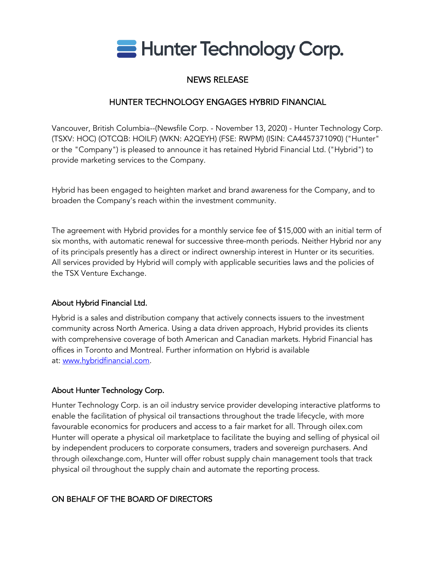

# NEWS RELEASE

# HUNTER TECHNOLOGY ENGAGES HYBRID FINANCIAL

Vancouver, British Columbia--(Newsfile Corp. - November 13, 2020) - Hunter Technology Corp. (TSXV: HOC) (OTCQB: HOILF) (WKN: A2QEYH) (FSE: RWPM) (ISIN: CA4457371090) ("Hunter" or the "Company") is pleased to announce it has retained Hybrid Financial Ltd. ("Hybrid") to provide marketing services to the Company.

Hybrid has been engaged to heighten market and brand awareness for the Company, and to broaden the Company's reach within the investment community.

The agreement with Hybrid provides for a monthly service fee of \$15,000 with an initial term of six months, with automatic renewal for successive three-month periods. Neither Hybrid nor any of its principals presently has a direct or indirect ownership interest in Hunter or its securities. All services provided by Hybrid will comply with applicable securities laws and the policies of the TSX Venture Exchange.

## About Hybrid Financial Ltd.

Hybrid is a sales and distribution company that actively connects issuers to the investment community across North America. Using a data driven approach, Hybrid provides its clients with comprehensive coverage of both American and Canadian markets. Hybrid Financial has offices in Toronto and Montreal. Further information on Hybrid is available at: www.hybridfinancial.com.

## About Hunter Technology Corp.

Hunter Technology Corp. is an oil industry service provider developing interactive platforms to enable the facilitation of physical oil transactions throughout the trade lifecycle, with more favourable economics for producers and access to a fair market for all. Through oilex.com Hunter will operate a physical oil marketplace to facilitate the buying and selling of physical oil by independent producers to corporate consumers, traders and sovereign purchasers. And through oilexchange.com, Hunter will offer robust supply chain management tools that track physical oil throughout the supply chain and automate the reporting process.

## ON BEHALF OF THE BOARD OF DIRECTORS